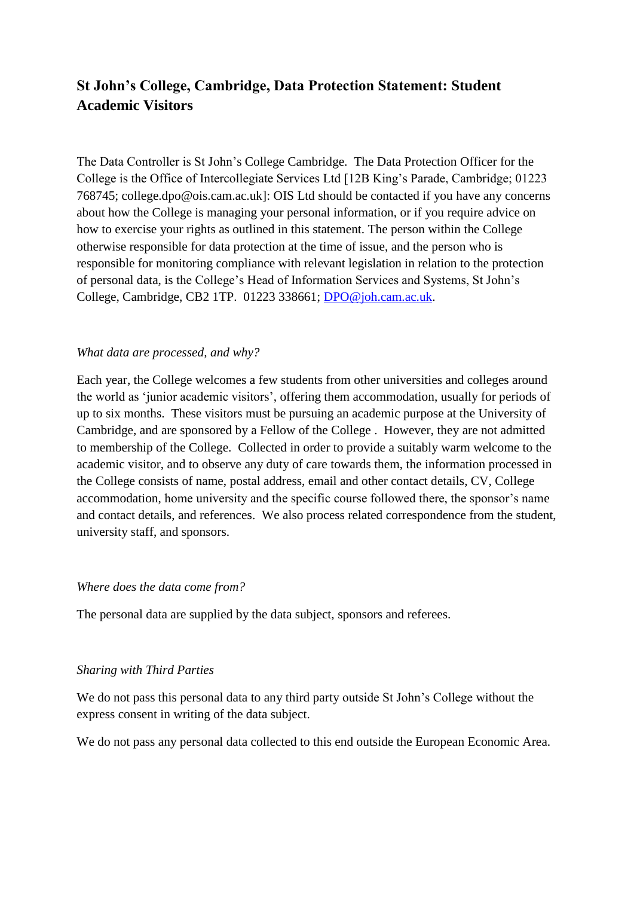# **St John's College, Cambridge, Data Protection Statement: Student Academic Visitors**

The Data Controller is St John's College Cambridge. The Data Protection Officer for the College is the Office of Intercollegiate Services Ltd [12B King's Parade, Cambridge; 01223 768745; college.dpo@ois.cam.ac.uk]: OIS Ltd should be contacted if you have any concerns about how the College is managing your personal information, or if you require advice on how to exercise your rights as outlined in this statement. The person within the College otherwise responsible for data protection at the time of issue, and the person who is responsible for monitoring compliance with relevant legislation in relation to the protection of personal data, is the College's Head of Information Services and Systems, St John's College, Cambridge, CB2 1TP. 01223 338661; [DPO@joh.cam.ac.uk.](mailto:DPO@joh.cam.ac.uk)

## *What data are processed, and why?*

Each year, the College welcomes a few students from other universities and colleges around the world as 'junior academic visitors', offering them accommodation, usually for periods of up to six months. These visitors must be pursuing an academic purpose at the University of Cambridge, and are sponsored by a Fellow of the College . However, they are not admitted to membership of the College. Collected in order to provide a suitably warm welcome to the academic visitor, and to observe any duty of care towards them, the information processed in the College consists of name, postal address, email and other contact details, CV, College accommodation, home university and the specific course followed there, the sponsor's name and contact details, and references. We also process related correspondence from the student, university staff, and sponsors.

### *Where does the data come from?*

The personal data are supplied by the data subject, sponsors and referees.

#### *Sharing with Third Parties*

We do not pass this personal data to any third party outside St John's College without the express consent in writing of the data subject.

We do not pass any personal data collected to this end outside the European Economic Area.